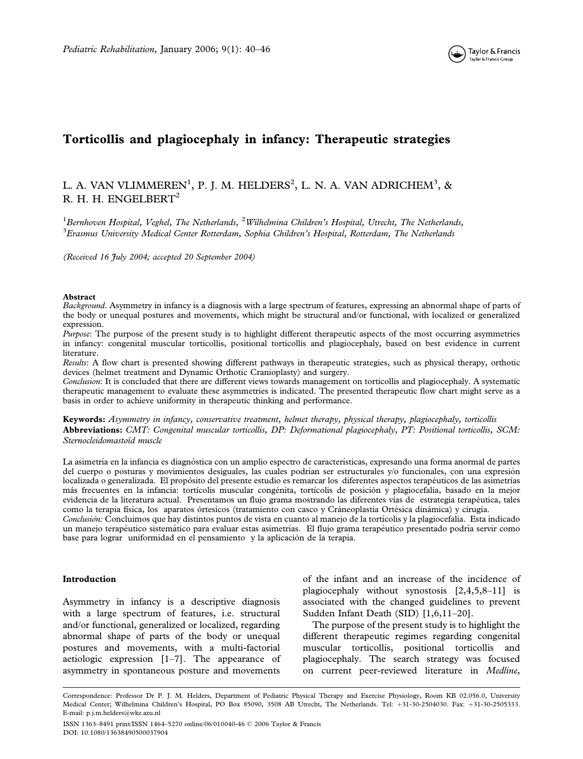

# Torticollis and plagiocephaly in infancy: Therapeutic strategies

# L. A. VAN VLIMMEREN $^1$ , P. J. M. HELDERS $^2$ , L. N. A. VAN ADRICHEM $^3$ , & R. H. H. ENGELBERT<sup>2</sup>

<sup>1</sup> Bernhoven Hospital, Veghel, The Netherlands, <sup>2</sup> Wilhelmina Children's Hospital, Utrecht, The Netherlands,  $^3$ Erasmus University Medical Center Rotterdam, Sophia Children's Hospital, Rotterdam, The Netherlands

(Received 16 July 2004; accepted 20 September 2004)

#### Abstract

Background. Asymmetry in infancy is a diagnosis with a large spectrum of features, expressing an abnormal shape of parts of the body or unequal postures and movements, which might be structural and/or functional, with localized or generalized expression.

Purpose: The purpose of the present study is to highlight different therapeutic aspects of the most occurring asymmetries in infancy: congenital muscular torticollis, positional torticollis and plagiocephaly, based on best evidence in current literature.

Results: A flow chart is presented showing different pathways in therapeutic strategies, such as physical therapy, orthotic devices (helmet treatment and Dynamic Orthotic Cranioplasty) and surgery.

Conclusion: It is concluded that there are different views towards management on torticollis and plagiocephaly. A systematic therapeutic management to evaluate these asymmetries is indicated. The presented therapeutic flow chart might serve as a basis in order to achieve uniformity in therapeutic thinking and performance.

Keywords: Asymmetry in infancy, conservative treatment, helmet therapy, physical therapy, plagiocephaly, torticollis Abbreviations: CMT: Congenital muscular torticollis, DP: Deformational plagiocephaly, PT: Positional torticollis, SCM: Sternocleidomastoïd muscle

La asimetría en la infancia es diagnóstica con un amplio espectro de características, expresando una forma anormal de partes del cuerpo o posturas y movimientos desiguales, las cuales podrían ser estructurales y/o funcionales, con una expresión localizada o generalizada. El propósito del presente estudio es remarcar los diferentes aspectos terapéuticos de las asimetrías más frecuentes en la infancia: tortícolis muscular congénita, tortícolis de posición y plagiocefalia, basado en la mejor evidencia de la literatura actual. Presentamos un flujo grama mostrando las diferentes vías de estrategia terapéutica, tales como la terapia física, los aparatos órtesicos (tratamiento con casco y Cráneoplastia Ortèsica dinámica) y cirugía.

Conclusión: Concluimos que hay distintos puntos de vista en cuanto al manejo de la tortícolis y la plagiocefalia. Esta indicado un manejo terapéutico sistemático para evaluar estas asimetrías. El flujo grama terapéutico presentado podría servir como base para lograr uniformidad en el pensamiento y la aplicación de la terapia.

## Introduction

Asymmetry in infancy is a descriptive diagnosis with a large spectrum of features, i.e. structural and/or functional, generalized or localized, regarding abnormal shape of parts of the body or unequal postures and movements, with a multi-factorial aetiologic expression [1–7]. The appearance of asymmetry in spontaneous posture and movements of the infant and an increase of the incidence of plagiocephaly without synostosis [2,4,5,8–11] is associated with the changed guidelines to prevent Sudden Infant Death (SID) [1,6,11–20].

The purpose of the present study is to highlight the different therapeutic regimes regarding congenital muscular torticollis, positional torticollis and plagiocephaly. The search strategy was focused on current peer-reviewed literature in Medline,

Correspondence: Professor Dr P. J. M. Helders, Department of Pediatric Physical Therapy and Exercise Physiology, Room KB 02.056.0, University Medical Center; Wilhelmina Children's Hospital, PO Box 85090, 3508 AB Utrecht, The Netherlands. Tel: +31-30-2504030. Fax: +31-30-2505333. E-mail: p.j.m.helders@wkz.azu.nl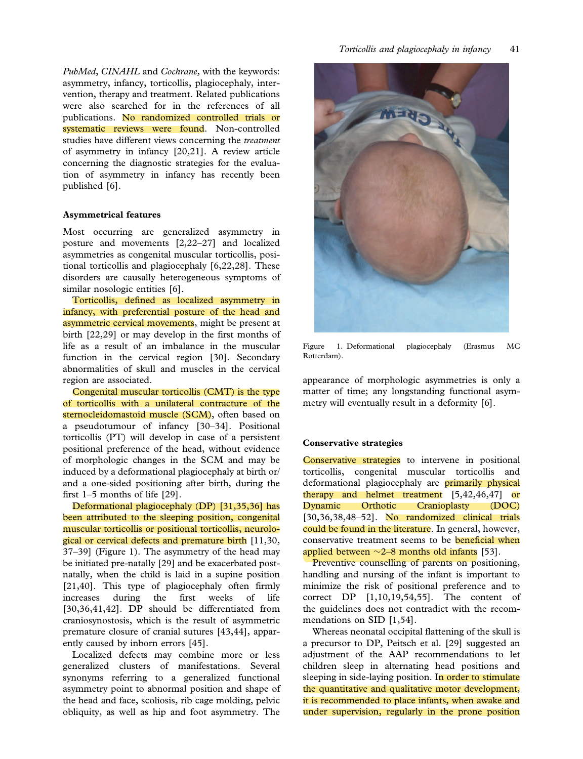PubMed, CINAHL and Cochrane, with the keywords: asymmetry, infancy, torticollis, plagiocephaly, intervention, therapy and treatment. Related publications were also searched for in the references of all publications. No randomized controlled trials or systematic reviews were found. Non-controlled studies have different views concerning the treatment of asymmetry in infancy [20,21]. A review article concerning the diagnostic strategies for the evaluation of asymmetry in infancy has recently been published [6].

## Asymmetrical features

Most occurring are generalized asymmetry in posture and movements [2,22–27] and localized asymmetries as congenital muscular torticollis, positional torticollis and plagiocephaly [6,22,28]. These disorders are causally heterogeneous symptoms of similar nosologic entities [6].

Torticollis, defined as localized asymmetry in infancy, with preferential posture of the head and asymmetric cervical movements, might be present at birth [22,29] or may develop in the first months of life as a result of an imbalance in the muscular function in the cervical region [30]. Secondary abnormalities of skull and muscles in the cervical region are associated.

Congenital muscular torticollis (CMT) is the type of torticollis with a unilateral contracture of the sternocleidomastoid muscle (SCM), often based on a pseudotumour of infancy [30–34]. Positional torticollis (PT) will develop in case of a persistent positional preference of the head, without evidence of morphologic changes in the SCM and may be induced by a deformational plagiocephaly at birth or/ and a one-sided positioning after birth, during the first 1–5 months of life [29].

Deformational plagiocephaly (DP) [31,35,36] has been attributed to the sleeping position, congenital muscular torticollis or positional torticollis, neurological or cervical defects and premature birth [11,30, 37–39] (Figure 1). The asymmetry of the head may be initiated pre-natally [29] and be exacerbated postnatally, when the child is laid in a supine position [21,40]. This type of plagiocephaly often firmly increases during the first weeks of life [30,36,41,42]. DP should be differentiated from craniosynostosis, which is the result of asymmetric premature closure of cranial sutures [43,44], apparently caused by inborn errors [45].

Localized defects may combine more or less generalized clusters of manifestations. Several synonyms referring to a generalized functional asymmetry point to abnormal position and shape of the head and face, scoliosis, rib cage molding, pelvic obliquity, as well as hip and foot asymmetry. The



Figure 1. Deformational plagiocephaly (Erasmus MC Rotterdam).

appearance of morphologic asymmetries is only a matter of time; any longstanding functional asymmetry will eventually result in a deformity [6].

### Conservative strategies

Conservative strategies to intervene in positional torticollis, congenital muscular torticollis and deformational plagiocephaly are **primarily physical** therapy and helmet treatment  $[5,42,46,47]$  or Dynamic Orthotic Cranioplasty (DOC) [30,36,38,48-52]. No randomized clinical trials could be found in the literature. In general, however, conservative treatment seems to be **beneficial when** applied between  $\sim$ 2–8 months old infants [53].

Preventive counselling of parents on positioning, handling and nursing of the infant is important to minimize the risk of positional preference and to correct DP [1,10,19,54,55]. The content of the guidelines does not contradict with the recommendations on SID [1,54].

Whereas neonatal occipital flattening of the skull is a precursor to DP, Peitsch et al. [29] suggested an adjustment of the AAP recommendations to let children sleep in alternating head positions and sleeping in side-laying position. In order to stimulate the quantitative and qualitative motor development, it is recommended to place infants, when awake and under supervision, regularly in the prone position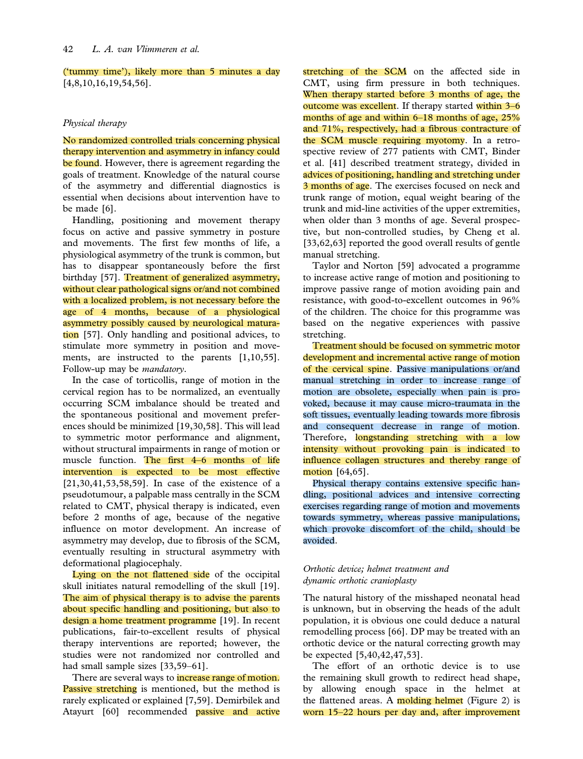('tummy time'), likely more than 5 minutes a day [4,8,10,16,19,54,56].

## Physical therapy

No randomized controlled trials concerning physical therapy intervention and asymmetry in infancy could be found. However, there is agreement regarding the goals of treatment. Knowledge of the natural course of the asymmetry and differential diagnostics is essential when decisions about intervention have to be made [6].

Handling, positioning and movement therapy focus on active and passive symmetry in posture and movements. The first few months of life, a physiological asymmetry of the trunk is common, but has to disappear spontaneously before the first birthday [57]. Treatment of generalized asymmetry, without clear pathological signs or/and not combined with a localized problem, is not necessary before the age of 4 months, because of a physiological asymmetry possibly caused by neurological maturation [57]. Only handling and positional advices, to stimulate more symmetry in position and movements, are instructed to the parents [1,10,55]. Follow-up may be mandatory.

In the case of torticollis, range of motion in the cervical region has to be normalized, an eventually occurring SCM imbalance should be treated and the spontaneous positional and movement preferences should be minimized [19,30,58]. This will lead to symmetric motor performance and alignment, without structural impairments in range of motion or muscle function. The first 4–6 months of life intervention is expected to be most effective [21,30,41,53,58,59]. In case of the existence of a pseudotumour, a palpable mass centrally in the SCM related to CMT, physical therapy is indicated, even before 2 months of age, because of the negative influence on motor development. An increase of asymmetry may develop, due to fibrosis of the SCM, eventually resulting in structural asymmetry with deformational plagiocephaly.

Lying on the not flattened side of the occipital skull initiates natural remodelling of the skull [19]. The aim of physical therapy is to advise the parents about specific handling and positioning, but also to design a home treatment programme [19]. In recent publications, fair-to-excellent results of physical therapy interventions are reported; however, the studies were not randomized nor controlled and had small sample sizes [33,59–61].

There are several ways to *increase range of motion*. Passive stretching is mentioned, but the method is rarely explicated or explained [7,59]. Demirbilek and Atayurt [60] recommended **passive and active** 

stretching of the SCM on the affected side in CMT, using firm pressure in both techniques. When therapy started before 3 months of age, the outcome was excellent. If therapy started within 3–6 months of age and within 6–18 months of age, 25% and 71%, respectively, had a fibrous contracture of the SCM muscle requiring myotomy. In a retrospective review of 277 patients with CMT, Binder et al. [41] described treatment strategy, divided in advices of positioning, handling and stretching under 3 months of age. The exercises focused on neck and trunk range of motion, equal weight bearing of the trunk and mid-line activities of the upper extremities, when older than 3 months of age. Several prospective, but non-controlled studies, by Cheng et al. [33,62,63] reported the good overall results of gentle manual stretching.

Taylor and Norton [59] advocated a programme to increase active range of motion and positioning to improve passive range of motion avoiding pain and resistance, with good-to-excellent outcomes in 96% of the children. The choice for this programme was based on the negative experiences with passive stretching.

Treatment should be focused on symmetric motor development and incremental active range of motion of the cervical spine. Passive manipulations or/and manual stretching in order to increase range of motion are obsolete, especially when pain is provoked, because it may cause micro-traumata in the soft tissues, eventually leading towards more fibrosis and consequent decrease in range of motion. Therefore, longstanding stretching with a low intensity without provoking pain is indicated to influence collagen structures and thereby range of  $motion [64, 65]$ .

Physical therapy contains extensive specific handling, positional advices and intensive correcting exercises regarding range of motion and movements towards symmetry, whereas passive manipulations, which provoke discomfort of the child, should be avoided.

# Orthotic device; helmet treatment and dynamic orthotic cranioplasty

The natural history of the misshaped neonatal head is unknown, but in observing the heads of the adult population, it is obvious one could deduce a natural remodelling process [66]. DP may be treated with an orthotic device or the natural correcting growth may be expected [5,40,42,47,53].

The effort of an orthotic device is to use the remaining skull growth to redirect head shape, by allowing enough space in the helmet at the flattened areas. A molding helmet (Figure 2) is worn 15–22 hours per day and, after improvement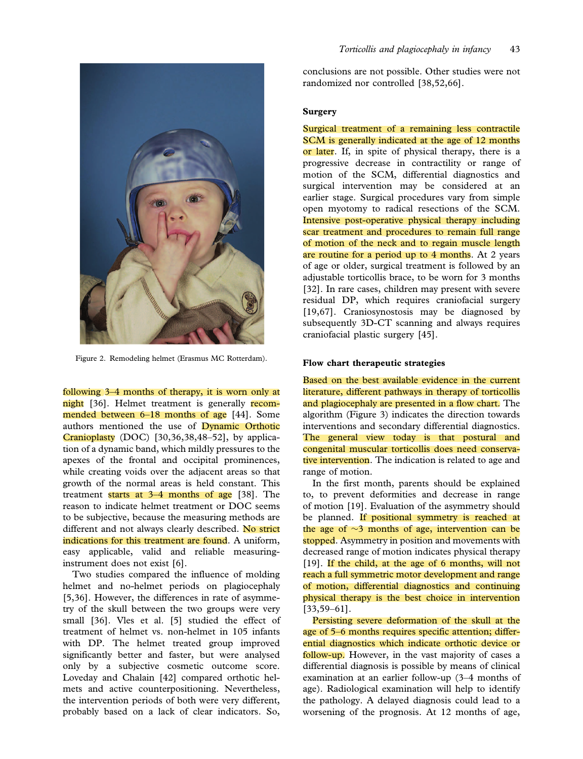

Figure 2. Remodeling helmet (Erasmus MC Rotterdam).

following 3–4 months of therapy, it is worn only at night [36]. Helmet treatment is generally recommended between 6–18 months of age [44]. Some authors mentioned the use of Dynamic Orthotic Cranioplasty (DOC) [30,36,38,48–52], by application of a dynamic band, which mildly pressures to the apexes of the frontal and occipital prominences, while creating voids over the adjacent areas so that growth of the normal areas is held constant. This treatment starts at  $3-4$  months of age [38]. The reason to indicate helmet treatment or DOC seems to be subjective, because the measuring methods are different and not always clearly described. No strict indications for this treatment are found. A uniform, easy applicable, valid and reliable measuringinstrument does not exist [6].

Two studies compared the influence of molding helmet and no-helmet periods on plagiocephaly [5,36]. However, the differences in rate of asymmetry of the skull between the two groups were very small [36]. Vles et al. [5] studied the effect of treatment of helmet vs. non-helmet in 105 infants with DP. The helmet treated group improved significantly better and faster, but were analysed only by a subjective cosmetic outcome score. Loveday and Chalain [42] compared orthotic helmets and active counterpositioning. Nevertheless, the intervention periods of both were very different, probably based on a lack of clear indicators. So,

conclusions are not possible. Other studies were not randomized nor controlled [38,52,66].

# **Surgery**

Surgical treatment of a remaining less contractile SCM is generally indicated at the age of 12 months or later. If, in spite of physical therapy, there is a progressive decrease in contractility or range of motion of the SCM, differential diagnostics and surgical intervention may be considered at an earlier stage. Surgical procedures vary from simple open myotomy to radical resections of the SCM. Intensive post-operative physical therapy including scar treatment and procedures to remain full range of motion of the neck and to regain muscle length are routine for a period up to 4 months. At 2 years of age or older, surgical treatment is followed by an adjustable torticollis brace, to be worn for 3 months [32]. In rare cases, children may present with severe residual DP, which requires craniofacial surgery [19,67]. Craniosynostosis may be diagnosed by subsequently 3D-CT scanning and always requires craniofacial plastic surgery [45].

#### Flow chart therapeutic strategies

Based on the best available evidence in the current literature, different pathways in therapy of torticollis and plagiocephaly are presented in a flow chart. The algorithm (Figure 3) indicates the direction towards interventions and secondary differential diagnostics. The general view today is that postural and congenital muscular torticollis does need conservative intervention. The indication is related to age and range of motion.

In the first month, parents should be explained to, to prevent deformities and decrease in range of motion [19]. Evaluation of the asymmetry should be planned. If positional symmetry is reached at the age of  $\sim$ 3 months of age, intervention can be stopped. Asymmetry in position and movements with decreased range of motion indicates physical therapy [19]. If the child, at the age of 6 months, will not reach a full symmetric motor development and range of motion, differential diagnostics and continuing physical therapy is the best choice in intervention [33,59–61].

Persisting severe deformation of the skull at the age of 5–6 months requires specific attention; differential diagnostics which indicate orthotic device or follow-up. However, in the vast majority of cases a differential diagnosis is possible by means of clinical examination at an earlier follow-up (3–4 months of age). Radiological examination will help to identify the pathology. A delayed diagnosis could lead to a worsening of the prognosis. At 12 months of age,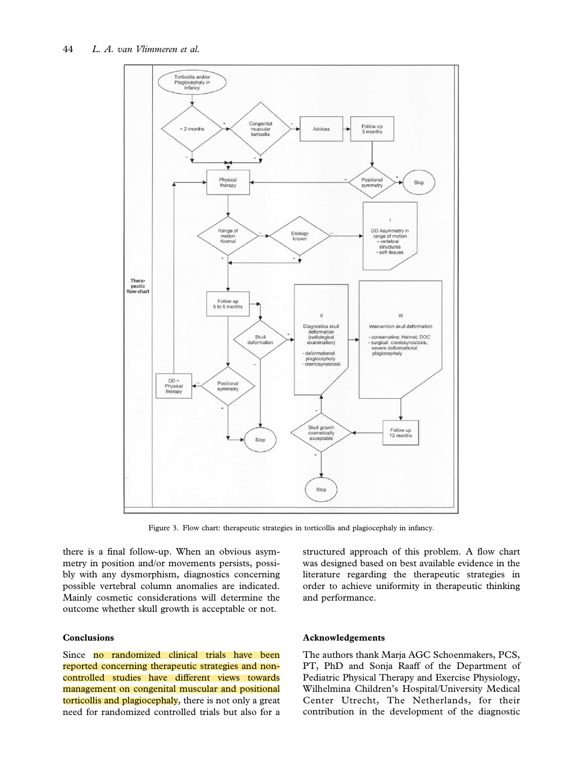

Figure 3. Flow chart: therapeutic strategies in torticollis and plagiocephaly in infancy.

there is a final follow-up. When an obvious asymmetry in position and/or movements persists, possibly with any dysmorphism, diagnostics concerning possible vertebral column anomalies are indicated. Mainly cosmetic considerations will determine the outcome whether skull growth is acceptable or not.

# Conclusions

Since no randomized clinical trials have been reported concerning therapeutic strategies and noncontrolled studies have different views towards management on congenital muscular and positional torticollis and plagiocephaly, there is not only a great need for randomized controlled trials but also for a

## Acknowledgements

and performance.

The authors thank Marja AGC Schoenmakers, PCS, PT, PhD and Sonja Raaff of the Department of Pediatric Physical Therapy and Exercise Physiology, Wilhelmina Children's Hospital/University Medical Center Utrecht, The Netherlands, for their contribution in the development of the diagnostic

structured approach of this problem. A flow chart was designed based on best available evidence in the literature regarding the therapeutic strategies in order to achieve uniformity in therapeutic thinking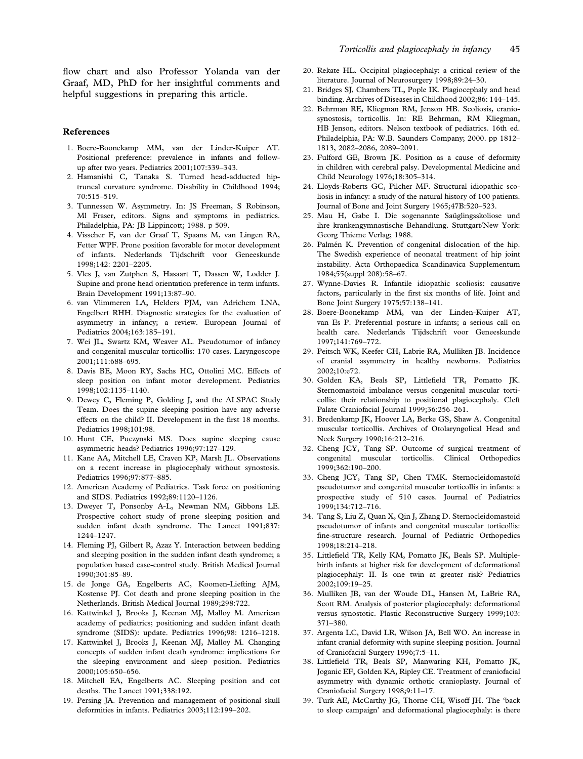flow chart and also Professor Yolanda van der Graaf, MD, PhD for her insightful comments and helpful suggestions in preparing this article.

### References

- 1. Boere-Boonekamp MM, van der Linder-Kuiper AT. Positional preference: prevalence in infants and followup after two years. Pediatrics 2001;107:339–343.
- 2. Hamanishi C, Tanaka S. Turned head-adducted hiptruncal curvature syndrome. Disability in Childhood 1994; 70:515–519.
- 3. Tunnessen W. Asymmetry. In: JS Freeman, S Robinson, Ml Fraser, editors. Signs and symptoms in pediatrics. Philadelphia, PA: JB Lippincott; 1988. p 509.
- 4. Visscher F, van der Graaf T, Spaans M, van Lingen RA, Fetter WPF. Prone position favorable for motor development of infants. Nederlands Tijdschrift voor Geneeskunde 1998;142: 2201–2205.
- 5. Vles J, van Zutphen S, Hasaart T, Dassen W, Lodder J. Supine and prone head orientation preference in term infants. Brain Development 1991;13:87–90.
- 6. van Vlimmeren LA, Helders PJM, van Adrichem LNA, Engelbert RHH. Diagnostic strategies for the evaluation of asymmetry in infancy; a review. European Journal of Pediatrics 2004;163:185–191.
- 7. Wei JL, Swartz KM, Weaver AL. Pseudotumor of infancy and congenital muscular torticollis: 170 cases. Laryngoscope 2001;111:688–695.
- 8. Davis BE, Moon RY, Sachs HC, Ottolini MC. Effects of sleep position on infant motor development. Pediatrics 1998;102:1135–1140.
- 9. Dewey C, Fleming P, Golding J, and the ALSPAC Study Team. Does the supine sleeping position have any adverse effects on the child? II. Development in the first 18 months. Pediatrics 1998;101:98.
- 10. Hunt CE, Puczynski MS. Does supine sleeping cause asymmetric heads? Pediatrics 1996;97:127–129.
- 11. Kane AA, Mitchell LE, Craven KP, Marsh JL. Observations on a recent increase in plagiocephaly without synostosis. Pediatrics 1996;97:877–885.
- 12. American Academy of Pediatrics. Task force on positioning and SIDS. Pediatrics 1992;89:1120–1126.
- 13. Dweyer T, Ponsonby A-L, Newman NM, Gibbons LE. Prospective cohort study of prone sleeping position and sudden infant death syndrome. The Lancet 1991;837: 1244–1247.
- 14. Fleming PJ, Gilbert R, Azaz Y. Interaction between bedding and sleeping position in the sudden infant death syndrome; a population based case-control study. British Medical Journal 1990;301:85–89.
- 15. de Jonge GA, Engelberts AC, Koomen-Liefting AJM, Kostense PJ. Cot death and prone sleeping position in the Netherlands. British Medical Journal 1989;298:722.
- 16. Kattwinkel J, Brooks J, Keenan MJ, Malloy M. American academy of pediatrics; positioning and sudden infant death syndrome (SIDS): update. Pediatrics 1996;98: 1216–1218.
- 17. Kattwinkel J, Brooks J, Keenan MJ, Malloy M. Changing concepts of sudden infant death syndrome: implications for the sleeping environment and sleep position. Pediatrics 2000;105:650–656.
- 18. Mitchell EA, Engelberts AC. Sleeping position and cot deaths. The Lancet 1991;338:192.
- 19. Persing JA. Prevention and management of positional skull deformities in infants. Pediatrics 2003;112:199–202.
- 20. Rekate HL. Occipital plagiocephaly: a critical review of the literature. Journal of Neurosurgery 1998;89:24–30.
- 21. Bridges SJ, Chambers TL, Pople IK. Plagiocephaly and head binding. Archives of Diseases in Childhood 2002;86: 144–145.
- 22. Behrman RE, Kliegman RM, Jenson HB. Scoliosis, craniosynostosis, torticollis. In: RE Behrman, RM Kliegman, HB Jenson, editors. Nelson textbook of pediatrics. 16th ed. Philadelphia, PA: W.B. Saunders Company; 2000. pp 1812– 1813, 2082–2086, 2089–2091.
- 23. Fulford GE, Brown JK. Position as a cause of deformity in children with cerebral palsy. Developmental Medicine and Child Neurology 1976;18:305–314.
- 24. Lloyds-Roberts GC, Pilcher MF. Structural idiopathic scoliosis in infancy: a study of the natural history of 100 patients. Journal of Bone and Joint Surgery 1965;47B:520–523.
- 25. Mau H, Gabe I. Die sogenannte Saüglingsskoliose und ihre krankengymnastische Behandlung. Stuttgart/New York: Georg Thieme Verlag; 1988.
- 26. Palmén K. Prevention of congenital dislocation of the hip. The Swedish experience of neonatal treatment of hip joint instability. Acta Orthopaedica Scandinavica Supplementum 1984;55(suppl 208):58–67.
- 27. Wynne-Davies R. Infantile idiopathic scoliosis: causative factors, particularly in the first six months of life. Joint and Bone Joint Surgery 1975;57:138–141.
- 28. Boere-Boonekamp MM, van der Linden-Kuiper AT, van Es P. Preferential posture in infants; a serious call on health care. Nederlands Tijdschrift voor Geneeskunde 1997;141:769–772.
- 29. Peitsch WK, Keefer CH, Labrie RA, Mulliken JB. Incidence of cranial asymmetry in healthy newborns. Pediatrics 2002;10:e72.
- 30. Golden KA, Beals SP, Littlefield TR, Pomatto JK. Sternomastoid imbalance versus congenital muscular torticollis: their relationship to positional plagiocephaly. Cleft Palate Craniofacial Journal 1999;36:256–261.
- 31. Bredenkamp JK, Hoover LA, Berke GS, Shaw A. Congenital muscular torticollis. Archives of Otolaryngolical Head and Neck Surgery 1990;16:212–216.
- 32. Cheng JCY, Tang SP. Outcome of surgical treatment of congenital muscular torticollis. Clinical Orthopedics 1999;362:190–200.
- 33. Cheng JCY, Tang SP, Chen TMK. Sternocleidomastoïd pseudotumor and congenital muscular torticollis in infants: a prospective study of 510 cases. Journal of Pediatrics 1999;134:712–716.
- 34. Tang S, Liu Z, Quan X, Qin J, Zhang D. Sternocleidomastoid pseudotumor of infants and congenital muscular torticollis: fine-structure research. Journal of Pediatric Orthopedics 1998;18:214–218.
- 35. Littlefield TR, Kelly KM, Pomatto JK, Beals SP. Multiplebirth infants at higher risk for development of deformational plagiocephaly: II. Is one twin at greater risk? Pediatrics 2002;109:19–25.
- 36. Mulliken JB, van der Woude DL, Hansen M, LaBrie RA, Scott RM. Analysis of posterior plagiocephaly: deformational versus synostotic. Plastic Reconstructive Surgery 1999;103: 371–380.
- 37. Argenta LC, David LR, Wilson JA, Bell WO. An increase in infant cranial deformity with supine sleeping position. Journal of Craniofacial Surgery 1996;7:5–11.
- 38. Littlefield TR, Beals SP, Manwaring KH, Pomatto JK, Joganic EF, Golden KA, Ripley CE. Treatment of craniofacial asymmetry with dynamic orthotic cranioplasty. Journal of Craniofacial Surgery 1998;9:11–17.
- 39. Turk AE, McCarthy JG, Thorne CH, Wisoff JH. The 'back to sleep campaign' and deformational plagiocephaly: is there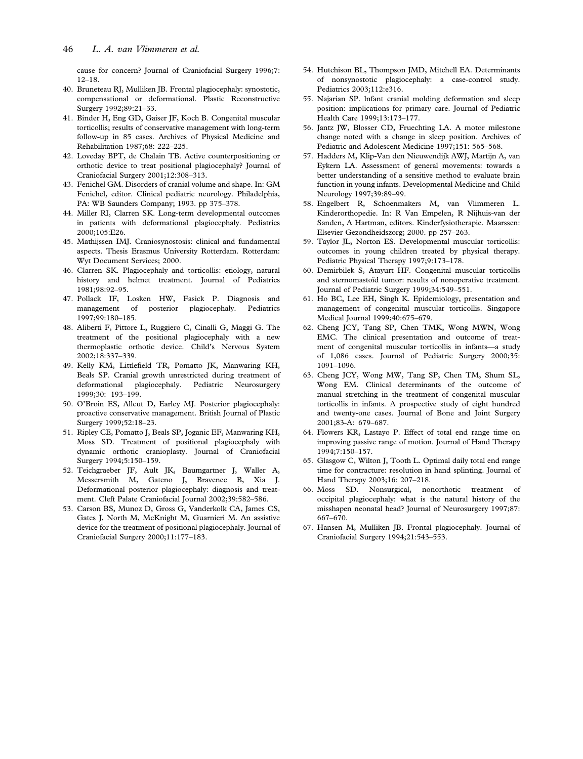cause for concern? Journal of Craniofacial Surgery 1996;7: 12–18.

- 40. Bruneteau RJ, Mulliken JB. Frontal plagiocephaly: synostotic, compensational or deformational. Plastic Reconstructive Surgery 1992;89:21–33.
- 41. Binder H, Eng GD, Gaiser JF, Koch B. Congenital muscular torticollis; results of conservative management with long-term follow-up in 85 cases. Archives of Physical Medicine and Rehabilitation 1987;68: 222–225.
- 42. Loveday BPT, de Chalain TB. Active counterpositioning or orthotic device to treat positional plagiocephaly? Journal of Craniofacial Surgery 2001;12:308–313.
- 43. Fenichel GM. Disorders of cranial volume and shape. In: GM Fenichel, editor. Clinical pediatric neurology. Philadelphia, PA: WB Saunders Company; 1993. pp 375–378.
- 44. Miller RI, Clarren SK. Long-term developmental outcomes in patients with deformational plagiocephaly. Pediatrics 2000;105:E26.
- 45. Mathijssen IMJ. Craniosynostosis: clinical and fundamental aspects. Thesis Erasmus University Rotterdam. Rotterdam: Wyt Document Services; 2000.
- 46. Clarren SK. Plagiocephaly and torticollis: etiology, natural history and helmet treatment. Journal of Pediatrics 1981;98:92–95.
- 47. Pollack IF, Losken HW, Fasick P. Diagnosis and management of posterior plagiocephaly. Pediatrics 1997;99:180–185.
- 48. Aliberti F, Pittore L, Ruggiero C, Cinalli G, Maggi G. The treatment of the positional plagiocephaly with a new thermoplastic orthotic device. Child's Nervous System 2002;18:337–339.
- 49. Kelly KM, Littlefield TR, Pomatto JK, Manwaring KH, Beals SP. Cranial growth unrestricted during treatment of deformational plagiocephaly. Pediatric Neurosurgery 1999;30: 193–199.
- 50. O'Broin ES, Allcut D, Earley MJ. Posterior plagiocephaly: proactive conservative management. British Journal of Plastic Surgery 1999;52:18–23.
- 51. Ripley CE, Pomatto J, Beals SP, Joganic EF, Manwaring KH, Moss SD. Treatment of positional plagiocephaly with dynamic orthotic cranioplasty. Journal of Craniofacial Surgery 1994:5:150-159.
- 52. Teichgraeber JF, Ault JK, Baumgartner J, Waller A, Messersmith M, Gateno J, Bravenec B, Xia J. Deformational posterior plagiocephaly: diagnosis and treatment. Cleft Palate Craniofacial Journal 2002;39:582–586.
- 53. Carson BS, Munoz D, Gross G, Vanderkolk CA, James CS, Gates J, North M, McKnight M, Guarnieri M. An assistive device for the treatment of positional plagiocephaly. Journal of Craniofacial Surgery 2000;11:177–183.
- 54. Hutchison BL, Thompson JMD, Mitchell EA. Determinants of nonsynostotic plagiocephaly: a case-control study. Pediatrics 2003;112:e316.
- 55. Najarian SP. lnfant cranial molding deformation and sleep position: implications for primary care. Journal of Pediatric Health Care 1999;13:173–177.
- 56. Jantz JW, Blosser CD, Fruechting LA. A motor milestone change noted with a change in sleep position. Archives of Pediatric and Adolescent Medicine 1997;151: 565–568.
- 57. Hadders M, Klip-Van den Nieuwendijk AWJ, Martijn A, van Eykern LA. Assessment of general movements: towards a better understanding of a sensitive method to evaluate brain function in young infants. Developmental Medicine and Child Neurology 1997;39:89–99.
- 58. Engelbert R, Schoenmakers M, van Vlimmeren L. Kinderorthopedie. In: R Van Empelen, R Nijhuis-van der Sanden, A Hartman, editors. Kinderfysiotherapie. Maarssen: Elsevier Gezondheidszorg; 2000. pp 257–263.
- 59. Taylor JL, Norton ES. Developmental muscular torticollis: outcomes in young children treated by physical therapy. Pediatric Physical Therapy 1997;9:173–178.
- 60. Demirbilek S, Atayurt HF. Congenital muscular torticollis and sternomastoïd tumor: results of nonoperative treatment. Journal of Pediatric Surgery 1999;34:549–551.
- 61. Ho BC, Lee EH, Singh K. Epidemiology, presentation and management of congenital muscular torticollis. Singapore Medical Journal 1999;40:675–679.
- 62. Cheng JCY, Tang SP, Chen TMK, Wong MWN, Wong EMC. The clinical presentation and outcome of treatment of congenital muscular torticollis in infants—a study of 1,086 cases. Journal of Pediatric Surgery 2000;35: 1091–1096.
- 63. Cheng JCY, Wong MW, Tang SP, Chen TM, Shum SL, Wong EM. Clinical determinants of the outcome of manual stretching in the treatment of congenital muscular torticollis in infants. A prospective study of eight hundred and twenty-one cases. Journal of Bone and Joint Surgery 2001;83-A: 679–687.
- 64. Flowers KR, Lastayo P. Effect of total end range time on improving passive range of motion. Journal of Hand Therapy 1994;7:150–157.
- 65. Glasgow C, Wilton J, Tooth L. Optimal daily total end range time for contracture: resolution in hand splinting. Journal of Hand Therapy 2003;16: 207–218.
- 66. Moss SD. Nonsurgical, nonorthotic treatment of occipital plagiocephaly: what is the natural history of the misshapen neonatal head? Journal of Neurosurgery 1997;87: 667–670.
- 67. Hansen M, Mulliken JB. Frontal plagiocephaly. Journal of Craniofacial Surgery 1994;21:543–553.